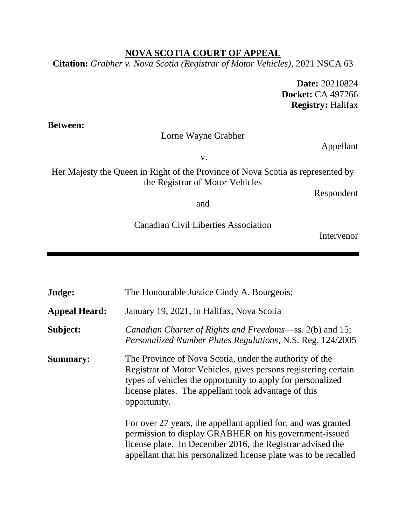### **NOVA SCOTIA COURT OF APPEAL**

**Citation:** *Grabher v. Nova Scotia (Registrar of Motor Vehicles)*, 2021 NSCA 63

**Date:** 20210824 **Docket:** CA 497266 **Registry:** Halifax

**Between:**

Lorne Wayne Grabher

Appellant

v.

Her Majesty the Queen in Right of the Province of Nova Scotia as represented by the Registrar of Motor Vehicles

Respondent

and

Canadian Civil Liberties Association

Intervenor

| Judge:               | The Honourable Justice Cindy A. Bourgeois;                                                                                                                                                                                                                       |
|----------------------|------------------------------------------------------------------------------------------------------------------------------------------------------------------------------------------------------------------------------------------------------------------|
| <b>Appeal Heard:</b> | January 19, 2021, in Halifax, Nova Scotia                                                                                                                                                                                                                        |
| Subject:             | Canadian Charter of Rights and Freedoms—ss. 2(b) and 15;<br>Personalized Number Plates Regulations, N.S. Reg. 124/2005                                                                                                                                           |
| <b>Summary:</b>      | The Province of Nova Scotia, under the authority of the<br>Registrar of Motor Vehicles, gives persons registering certain<br>types of vehicles the opportunity to apply for personalized<br>license plates. The appellant took advantage of this<br>opportunity. |
|                      | For over 27 years, the appellant applied for, and was granted<br>permission to display GRABHER on his government-issued<br>license plate. In December 2016, the Registrar advised the<br>appellant that his personalized license plate was to be recalled        |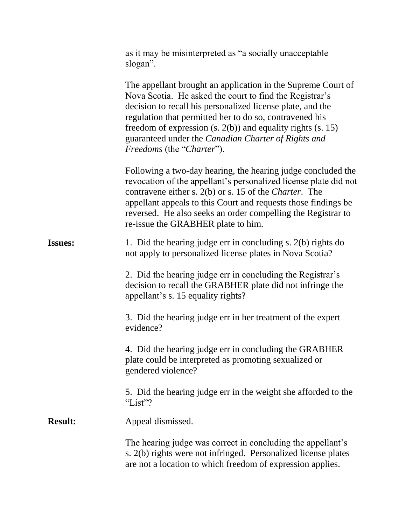|                | as it may be misinterpreted as "a socially unacceptable<br>slogan".                                                                                                                                                                                                                                                                                                                                     |
|----------------|---------------------------------------------------------------------------------------------------------------------------------------------------------------------------------------------------------------------------------------------------------------------------------------------------------------------------------------------------------------------------------------------------------|
|                | The appellant brought an application in the Supreme Court of<br>Nova Scotia. He asked the court to find the Registrar's<br>decision to recall his personalized license plate, and the<br>regulation that permitted her to do so, contravened his<br>freedom of expression $(s. 2(b))$ and equality rights $(s. 15)$<br>guaranteed under the Canadian Charter of Rights and<br>Freedoms (the "Charter"). |
|                | Following a two-day hearing, the hearing judge concluded the<br>revocation of the appellant's personalized license plate did not<br>contravene either s. $2(b)$ or s. 15 of the <i>Charter</i> . The<br>appellant appeals to this Court and requests those findings be<br>reversed. He also seeks an order compelling the Registrar to<br>re-issue the GRABHER plate to him.                            |
| <b>Issues:</b> | 1. Did the hearing judge err in concluding s. 2(b) rights do<br>not apply to personalized license plates in Nova Scotia?                                                                                                                                                                                                                                                                                |
|                | 2. Did the hearing judge err in concluding the Registrar's<br>decision to recall the GRABHER plate did not infringe the<br>appellant's s. 15 equality rights?                                                                                                                                                                                                                                           |
|                | 3. Did the hearing judge err in her treatment of the expert<br>evidence?                                                                                                                                                                                                                                                                                                                                |
|                | 4. Did the hearing judge err in concluding the GRABHER<br>plate could be interpreted as promoting sexualized or<br>gendered violence?                                                                                                                                                                                                                                                                   |
|                | 5. Did the hearing judge err in the weight she afforded to the<br>"List"?                                                                                                                                                                                                                                                                                                                               |
| <b>Result:</b> | Appeal dismissed.                                                                                                                                                                                                                                                                                                                                                                                       |
|                | The hearing judge was correct in concluding the appellant's<br>s. 2(b) rights were not infringed. Personalized license plates<br>are not a location to which freedom of expression applies.                                                                                                                                                                                                             |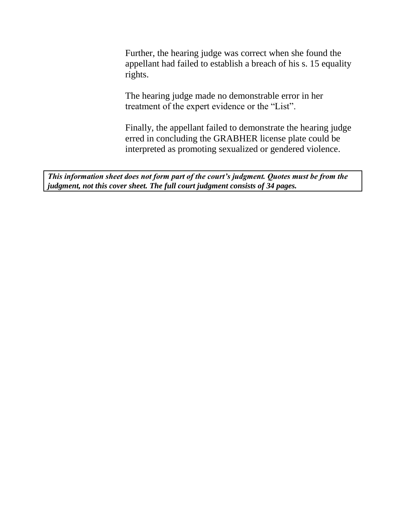Further, the hearing judge was correct when she found the appellant had failed to establish a breach of his s. 15 equality rights.

The hearing judge made no demonstrable error in her treatment of the expert evidence or the "List".

Finally, the appellant failed to demonstrate the hearing judge erred in concluding the GRABHER license plate could be interpreted as promoting sexualized or gendered violence.

*This information sheet does not form part of the court's judgment. Quotes must be from the judgment, not this cover sheet. The full court judgment consists of 34 pages.*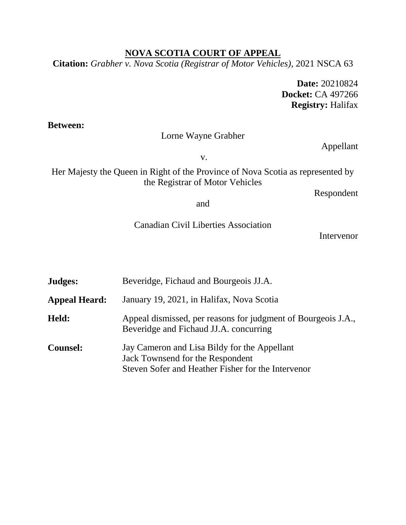### **NOVA SCOTIA COURT OF APPEAL**

**Citation:** *Grabher v. Nova Scotia (Registrar of Motor Vehicles)*, 2021 NSCA 63

**Date:** 20210824 **Docket:** CA 497266 **Registry:** Halifax

**Between:**

### Lorne Wayne Grabher

Appellant

v.

Her Majesty the Queen in Right of the Province of Nova Scotia as represented by the Registrar of Motor Vehicles

Respondent

and

Canadian Civil Liberties Association

Intervenor

| Judges:              | Beveridge, Fichaud and Bourgeois JJ.A.                                                                                                 |
|----------------------|----------------------------------------------------------------------------------------------------------------------------------------|
| <b>Appeal Heard:</b> | January 19, 2021, in Halifax, Nova Scotia                                                                                              |
| Held:                | Appeal dismissed, per reasons for judgment of Bourgeois J.A.,<br>Beveridge and Fichaud JJ.A. concurring                                |
| <b>Counsel:</b>      | Jay Cameron and Lisa Bildy for the Appellant<br>Jack Townsend for the Respondent<br>Steven Sofer and Heather Fisher for the Intervenor |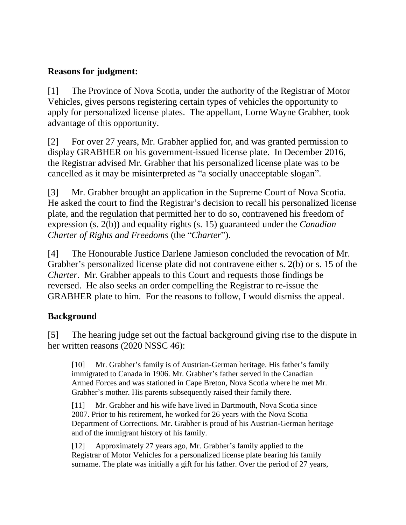# **Reasons for judgment:**

[1] The Province of Nova Scotia, under the authority of the Registrar of Motor Vehicles, gives persons registering certain types of vehicles the opportunity to apply for personalized license plates. The appellant, Lorne Wayne Grabher, took advantage of this opportunity.

[2] For over 27 years, Mr. Grabher applied for, and was granted permission to display GRABHER on his government-issued license plate. In December 2016, the Registrar advised Mr. Grabher that his personalized license plate was to be cancelled as it may be misinterpreted as "a socially unacceptable slogan".

[3] Mr. Grabher brought an application in the Supreme Court of Nova Scotia. He asked the court to find the Registrar's decision to recall his personalized license plate, and the regulation that permitted her to do so, contravened his freedom of expression (s. 2(b)) and equality rights (s. 15) guaranteed under the *Canadian Charter of Rights and Freedoms* (the "*Charter*").

[4] The Honourable Justice Darlene Jamieson concluded the revocation of Mr. Grabher's personalized license plate did not contravene either s. 2(b) or s. 15 of the *Charter*. Mr. Grabher appeals to this Court and requests those findings be reversed. He also seeks an order compelling the Registrar to re-issue the GRABHER plate to him. For the reasons to follow, I would dismiss the appeal.

# **Background**

[5] The hearing judge set out the factual background giving rise to the dispute in her written reasons (2020 NSSC 46):

[10] Mr. Grabher's family is of Austrian-German heritage. His father's family immigrated to Canada in 1906. Mr. Grabher's father served in the Canadian Armed Forces and was stationed in Cape Breton, Nova Scotia where he met Mr. Grabher's mother. His parents subsequently raised their family there.

[11] Mr. Grabher and his wife have lived in Dartmouth, Nova Scotia since 2007. Prior to his retirement, he worked for 26 years with the Nova Scotia Department of Corrections. Mr. Grabher is proud of his Austrian-German heritage and of the immigrant history of his family.

[12] Approximately 27 years ago, Mr. Grabher's family applied to the Registrar of Motor Vehicles for a personalized license plate bearing his family surname. The plate was initially a gift for his father. Over the period of 27 years,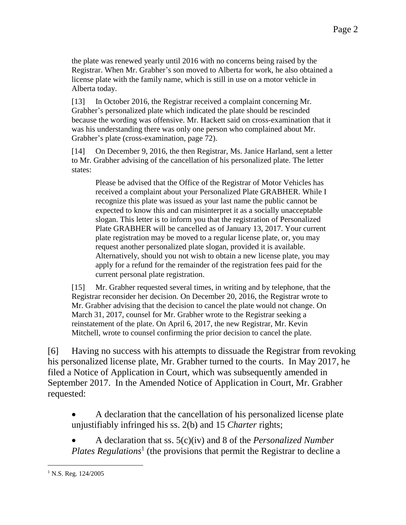the plate was renewed yearly until 2016 with no concerns being raised by the Registrar. When Mr. Grabher's son moved to Alberta for work, he also obtained a license plate with the family name, which is still in use on a motor vehicle in Alberta today.

[13] In October 2016, the Registrar received a complaint concerning Mr. Grabher's personalized plate which indicated the plate should be rescinded because the wording was offensive. Mr. Hackett said on cross-examination that it was his understanding there was only one person who complained about Mr. Grabher's plate (cross-examination, page 72).

[14] On December 9, 2016, the then Registrar, Ms. Janice Harland, sent a letter to Mr. Grabher advising of the cancellation of his personalized plate. The letter states:

Please be advised that the Office of the Registrar of Motor Vehicles has received a complaint about your Personalized Plate GRABHER. While I recognize this plate was issued as your last name the public cannot be expected to know this and can misinterpret it as a socially unacceptable slogan. This letter is to inform you that the registration of Personalized Plate GRABHER will be cancelled as of January 13, 2017. Your current plate registration may be moved to a regular license plate, or, you may request another personalized plate slogan, provided it is available. Alternatively, should you not wish to obtain a new license plate, you may apply for a refund for the remainder of the registration fees paid for the current personal plate registration.

[15] Mr. Grabher requested several times, in writing and by telephone, that the Registrar reconsider her decision. On December 20, 2016, the Registrar wrote to Mr. Grabher advising that the decision to cancel the plate would not change. On March 31, 2017, counsel for Mr. Grabher wrote to the Registrar seeking a reinstatement of the plate. On April 6, 2017, the new Registrar, Mr. Kevin Mitchell, wrote to counsel confirming the prior decision to cancel the plate.

[6] Having no success with his attempts to dissuade the Registrar from revoking his personalized license plate, Mr. Grabher turned to the courts. In May 2017, he filed a Notice of Application in Court, which was subsequently amended in September 2017. In the Amended Notice of Application in Court, Mr. Grabher requested:

 A declaration that the cancellation of his personalized license plate unjustifiably infringed his ss. 2(b) and 15 *Charter* rights;

 A declaration that ss. 5(c)(iv) and 8 of the *Personalized Number*  Plates Regulations<sup>1</sup> (the provisions that permit the Registrar to decline a

 $\overline{a}$ 

<sup>&</sup>lt;sup>1</sup> N.S. Reg. 124/2005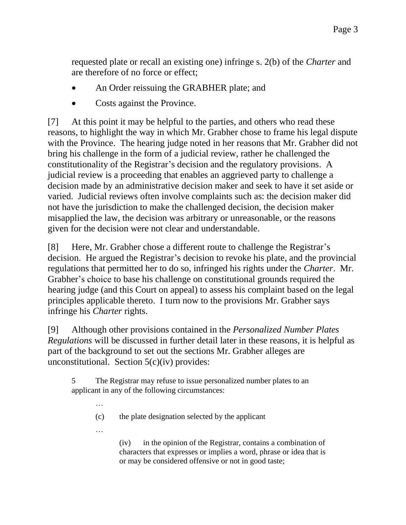requested plate or recall an existing one) infringe s. 2(b) of the *Charter* and are therefore of no force or effect;

- An Order reissuing the GRABHER plate; and
- Costs against the Province.

[7] At this point it may be helpful to the parties, and others who read these reasons, to highlight the way in which Mr. Grabher chose to frame his legal dispute with the Province. The hearing judge noted in her reasons that Mr. Grabher did not bring his challenge in the form of a judicial review, rather he challenged the constitutionality of the Registrar's decision and the regulatory provisions. A judicial review is a proceeding that enables an aggrieved party to challenge a decision made by an administrative decision maker and seek to have it set aside or varied. Judicial reviews often involve complaints such as: the decision maker did not have the jurisdiction to make the challenged decision, the decision maker misapplied the law, the decision was arbitrary or unreasonable, or the reasons given for the decision were not clear and understandable.

[8] Here, Mr. Grabher chose a different route to challenge the Registrar's decision. He argued the Registrar's decision to revoke his plate, and the provincial regulations that permitted her to do so, infringed his rights under the *Charter*. Mr. Grabher's choice to base his challenge on constitutional grounds required the hearing judge (and this Court on appeal) to assess his complaint based on the legal principles applicable thereto. I turn now to the provisions Mr. Grabher says infringe his *Charter* rights.

[9] Although other provisions contained in the *Personalized Number Plates Regulations* will be discussed in further detail later in these reasons, it is helpful as part of the background to set out the sections Mr. Grabher alleges are unconstitutional. Section  $5(c)(iv)$  provides:

5 The Registrar may refuse to issue personalized number plates to an applicant in any of the following circumstances:

- (c) the plate designation selected by the applicant
- …

…

(iv) in the opinion of the Registrar, contains a combination of characters that expresses or implies a word, phrase or idea that is or may be considered offensive or not in good taste;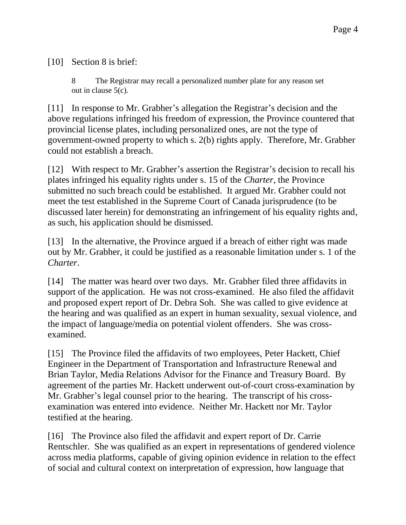[10] Section 8 is brief:

8 The Registrar may recall a personalized number plate for any reason set out in clause 5(c).

[11] In response to Mr. Grabher's allegation the Registrar's decision and the above regulations infringed his freedom of expression, the Province countered that provincial license plates, including personalized ones, are not the type of government-owned property to which s. 2(b) rights apply. Therefore, Mr. Grabher could not establish a breach.

[12] With respect to Mr. Grabher's assertion the Registrar's decision to recall his plates infringed his equality rights under s. 15 of the *Charter*, the Province submitted no such breach could be established. It argued Mr. Grabher could not meet the test established in the Supreme Court of Canada jurisprudence (to be discussed later herein) for demonstrating an infringement of his equality rights and, as such, his application should be dismissed.

[13] In the alternative, the Province argued if a breach of either right was made out by Mr. Grabher, it could be justified as a reasonable limitation under s. 1 of the *Charter*.

[14] The matter was heard over two days. Mr. Grabher filed three affidavits in support of the application. He was not cross-examined. He also filed the affidavit and proposed expert report of Dr. Debra Soh. She was called to give evidence at the hearing and was qualified as an expert in human sexuality, sexual violence, and the impact of language/media on potential violent offenders. She was crossexamined.

[15] The Province filed the affidavits of two employees, Peter Hackett, Chief Engineer in the Department of Transportation and Infrastructure Renewal and Brian Taylor, Media Relations Advisor for the Finance and Treasury Board. By agreement of the parties Mr. Hackett underwent out-of-court cross-examination by Mr. Grabher's legal counsel prior to the hearing. The transcript of his crossexamination was entered into evidence. Neither Mr. Hackett nor Mr. Taylor testified at the hearing.

[16] The Province also filed the affidavit and expert report of Dr. Carrie Rentschler. She was qualified as an expert in representations of gendered violence across media platforms, capable of giving opinion evidence in relation to the effect of social and cultural context on interpretation of expression, how language that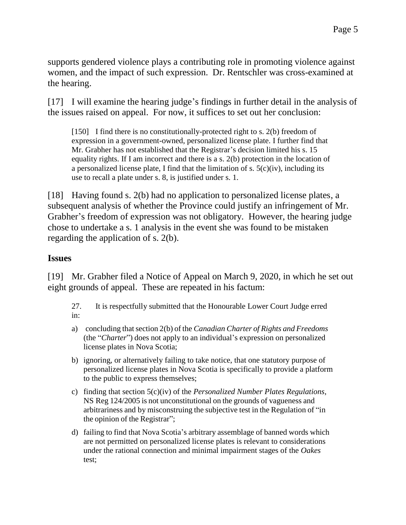supports gendered violence plays a contributing role in promoting violence against women, and the impact of such expression. Dr. Rentschler was cross-examined at the hearing.

[17] I will examine the hearing judge's findings in further detail in the analysis of the issues raised on appeal. For now, it suffices to set out her conclusion:

[150] I find there is no constitutionally-protected right to s. 2(b) freedom of expression in a government-owned, personalized license plate. I further find that Mr. Grabher has not established that the Registrar's decision limited his s. 15 equality rights. If I am incorrect and there is a s. 2(b) protection in the location of a personalized license plate, I find that the limitation of s.  $5(c)(iv)$ , including its use to recall a plate under s. 8, is justified under s. 1.

[18] Having found s. 2(b) had no application to personalized license plates, a subsequent analysis of whether the Province could justify an infringement of Mr. Grabher's freedom of expression was not obligatory. However, the hearing judge chose to undertake a s. 1 analysis in the event she was found to be mistaken regarding the application of s. 2(b).

### **Issues**

[19] Mr. Grabher filed a Notice of Appeal on March 9, 2020, in which he set out eight grounds of appeal. These are repeated in his factum:

27. It is respectfully submitted that the Honourable Lower Court Judge erred in:

- a) concluding thatsection 2(b) of the *Canadian Charter of Rights and Freedoms* (the "*Charter*") does not apply to an individual's expression on personalized license plates in Nova Scotia;
- b) ignoring, or alternatively failing to take notice, that one statutory purpose of personalized license plates in Nova Scotia is specifically to provide a platform to the public to express themselves;
- c) finding that section 5(c)(iv) of the *Personalized Number Plates Regulations*, NS Reg 124/2005 is not unconstitutional on the grounds of vagueness and arbitrariness and by misconstruing the subjective test in the Regulation of "in the opinion of the Registrar";
- d) failing to find that Nova Scotia's arbitrary assemblage of banned words which are not permitted on personalized license plates is relevant to considerations under the rational connection and minimal impairment stages of the *Oakes* test;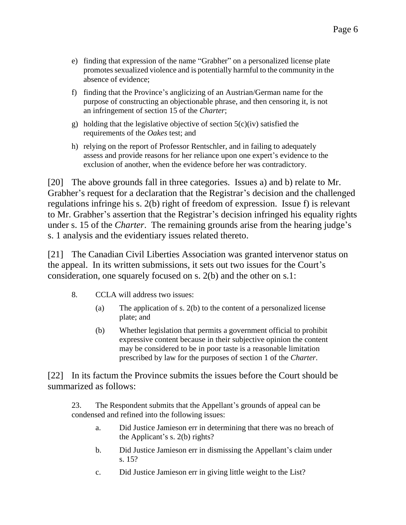- e) finding that expression of the name "Grabher" on a personalized license plate promotes sexualized violence and is potentially harmful to the community in the absence of evidence;
- f) finding that the Province's anglicizing of an Austrian/German name for the purpose of constructing an objectionable phrase, and then censoring it, is not an infringement of section 15 of the *Charter*;
- g) holding that the legislative objective of section  $5(c)(iv)$  satisfied the requirements of the *Oakes* test; and
- h) relying on the report of Professor Rentschler, and in failing to adequately assess and provide reasons for her reliance upon one expert's evidence to the exclusion of another, when the evidence before her was contradictory.

[20] The above grounds fall in three categories. Issues a) and b) relate to Mr. Grabher's request for a declaration that the Registrar's decision and the challenged regulations infringe his s. 2(b) right of freedom of expression. Issue f) is relevant to Mr. Grabher's assertion that the Registrar's decision infringed his equality rights under s. 15 of the *Charter*. The remaining grounds arise from the hearing judge's s. 1 analysis and the evidentiary issues related thereto.

[21] The Canadian Civil Liberties Association was granted intervenor status on the appeal. In its written submissions, it sets out two issues for the Court's consideration, one squarely focused on s. 2(b) and the other on s.1:

- 8. CCLA will address two issues:
	- (a) The application of s. 2(b) to the content of a personalized license plate; and
	- (b) Whether legislation that permits a government official to prohibit expressive content because in their subjective opinion the content may be considered to be in poor taste is a reasonable limitation prescribed by law for the purposes of section 1 of the *Charter*.

[22] In its factum the Province submits the issues before the Court should be summarized as follows:

23. The Respondent submits that the Appellant's grounds of appeal can be condensed and refined into the following issues:

- a. Did Justice Jamieson err in determining that there was no breach of the Applicant's s. 2(b) rights?
- b. Did Justice Jamieson err in dismissing the Appellant's claim under s. 15?
- c. Did Justice Jamieson err in giving little weight to the List?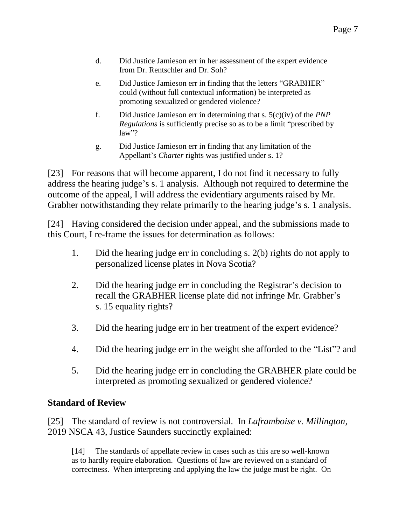- d. Did Justice Jamieson err in her assessment of the expert evidence from Dr. Rentschler and Dr. Soh?
- e. Did Justice Jamieson err in finding that the letters "GRABHER" could (without full contextual information) be interpreted as promoting sexualized or gendered violence?
- f. Did Justice Jamieson err in determining that s. 5(c)(iv) of the *PNP Regulations* is sufficiently precise so as to be a limit "prescribed by law"?
- g. Did Justice Jamieson err in finding that any limitation of the Appellant's *Charter* rights was justified under s. 1?

[23] For reasons that will become apparent, I do not find it necessary to fully address the hearing judge's s. 1 analysis. Although not required to determine the outcome of the appeal, I will address the evidentiary arguments raised by Mr. Grabher notwithstanding they relate primarily to the hearing judge's s. 1 analysis.

[24] Having considered the decision under appeal, and the submissions made to this Court, I re-frame the issues for determination as follows:

- 1. Did the hearing judge err in concluding s. 2(b) rights do not apply to personalized license plates in Nova Scotia?
- 2. Did the hearing judge err in concluding the Registrar's decision to recall the GRABHER license plate did not infringe Mr. Grabher's s. 15 equality rights?
- 3. Did the hearing judge err in her treatment of the expert evidence?
- 4. Did the hearing judge err in the weight she afforded to the "List"? and
- 5. Did the hearing judge err in concluding the GRABHER plate could be interpreted as promoting sexualized or gendered violence?

# **Standard of Review**

[25] The standard of review is not controversial. In *Laframboise v. Millington*, 2019 NSCA 43, Justice Saunders succinctly explained:

[14] The standards of appellate review in cases such as this are so well-known as to hardly require elaboration. Questions of law are reviewed on a standard of correctness. When interpreting and applying the law the judge must be right. On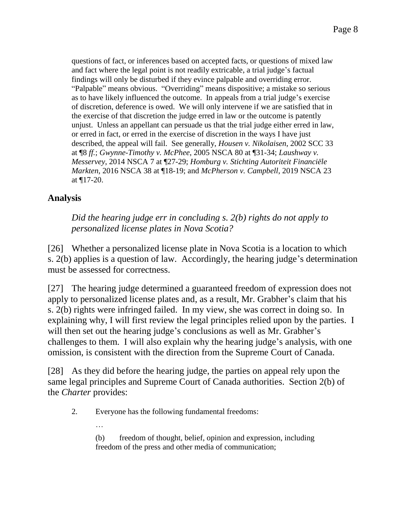questions of fact, or inferences based on accepted facts, or questions of mixed law and fact where the legal point is not readily extricable, a trial judge's factual findings will only be disturbed if they evince palpable and overriding error. "Palpable" means obvious. "Overriding" means dispositive; a mistake so serious as to have likely influenced the outcome. In appeals from a trial judge's exercise of discretion, deference is owed. We will only intervene if we are satisfied that in the exercise of that discretion the judge erred in law or the outcome is patently unjust. Unless an appellant can persuade us that the trial judge either erred in law, or erred in fact, or erred in the exercise of discretion in the ways I have just described, the appeal will fail. See generally, *Housen v. Nikolaisen*, 2002 SCC 33 at ¶8 *ff.*; *Gwynne-Timothy v. McPhee*, 2005 NSCA 80 at ¶31-34; *Laushway v. Messervey*, 2014 NSCA 7 at ¶27-29; *Homburg v. Stichting Autoriteit Financiële Markten*, 2016 NSCA 38 at ¶18-19; and *McPherson v. Campbell*, 2019 NSCA 23 at ¶17-20.

# **Analysis**

*Did the hearing judge err in concluding s. 2(b) rights do not apply to personalized license plates in Nova Scotia?*

[26] Whether a personalized license plate in Nova Scotia is a location to which s. 2(b) applies is a question of law. Accordingly, the hearing judge's determination must be assessed for correctness.

[27] The hearing judge determined a guaranteed freedom of expression does not apply to personalized license plates and, as a result, Mr. Grabher's claim that his s. 2(b) rights were infringed failed. In my view, she was correct in doing so. In explaining why, I will first review the legal principles relied upon by the parties. I will then set out the hearing judge's conclusions as well as Mr. Grabher's challenges to them. I will also explain why the hearing judge's analysis, with one omission, is consistent with the direction from the Supreme Court of Canada.

[28] As they did before the hearing judge, the parties on appeal rely upon the same legal principles and Supreme Court of Canada authorities. Section 2(b) of the *Charter* provides:

2. Everyone has the following fundamental freedoms:

…

(b) freedom of thought, belief, opinion and expression, including freedom of the press and other media of communication;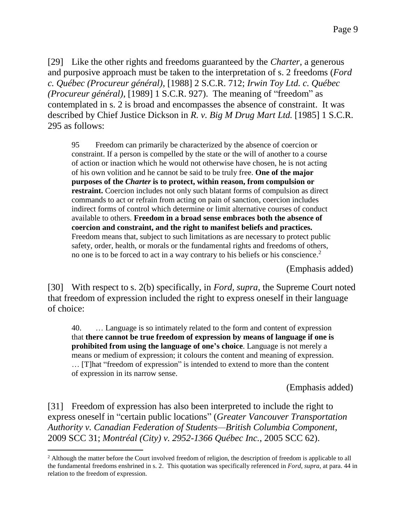[29] Like the other rights and freedoms guaranteed by the *Charter*, a generous and purposive approach must be taken to the interpretation of s. 2 freedoms (*Ford c. Québec (Procureur général)*, [1988] 2 S.C.R. 712; *Irwin Toy Ltd. c. Québec (Procureur général)*, [1989] 1 S.C.R. 927). The meaning of "freedom" as contemplated in s. 2 is broad and encompasses the absence of constraint. It was described by Chief Justice Dickson in *R. v. Big M Drug Mart Ltd.* [1985] 1 S.C.R. 295 as follows:

95 Freedom can primarily be characterized by the absence of coercion or constraint. If a person is compelled by the state or the will of another to a course of action or inaction which he would not otherwise have chosen, he is not acting of his own volition and he cannot be said to be truly free. **One of the major purposes of the** *Charter* **is to protect, within reason, from compulsion or restraint.** Coercion includes not only such blatant forms of compulsion as direct commands to act or refrain from acting on pain of sanction, coercion includes indirect forms of control which determine or limit alternative courses of conduct available to others. **Freedom in a broad sense embraces both the absence of coercion and constraint, and the right to manifest beliefs and practices.** Freedom means that, subject to such limitations as are necessary to protect public safety, order, health, or morals or the fundamental rights and freedoms of others, no one is to be forced to act in a way contrary to his beliefs or his conscience. 2

(Emphasis added)

[30] With respect to s. 2(b) specifically, in *Ford, supra*, the Supreme Court noted that freedom of expression included the right to express oneself in their language of choice:

40. … Language is so intimately related to the form and content of expression that **there cannot be true freedom of expression by means of language if one is prohibited from using the language of one's choice**. Language is not merely a means or medium of expression; it colours the content and meaning of expression. … [T]hat "freedom of expression" is intended to extend to more than the content of expression in its narrow sense.

(Emphasis added)

[31] Freedom of expression has also been interpreted to include the right to express oneself in "certain public locations" (*Greater Vancouver Transportation Authority v. Canadian Federation of Students—British Columbia Component*, 2009 SCC 31; *Montréal (City) v. 2952-1366 Québec Inc.*, 2005 SCC 62).

 $\overline{a}$ 

<sup>&</sup>lt;sup>2</sup> Although the matter before the Court involved freedom of religion, the description of freedom is applicable to all the fundamental freedoms enshrined in s. 2. This quotation was specifically referenced in *Ford*, *supra*, at para. 44 in relation to the freedom of expression.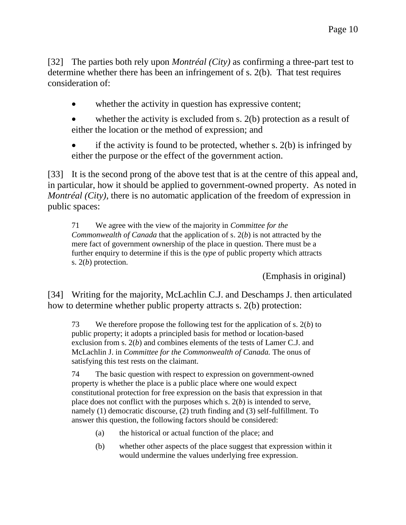[32] The parties both rely upon *Montréal (City)* as confirming a three-part test to determine whether there has been an infringement of s. 2(b). That test requires consideration of:

• whether the activity in question has expressive content;

whether the activity is excluded from s. 2(b) protection as a result of either the location or the method of expression; and

 if the activity is found to be protected, whether s. 2(b) is infringed by either the purpose or the effect of the government action.

[33] It is the second prong of the above test that is at the centre of this appeal and, in particular, how it should be applied to government-owned property. As noted in *Montréal (City)*, there is no automatic application of the freedom of expression in public spaces:

71 We agree with the view of the majority in *Committee for the Commonwealth of Canada* that the application of s. 2(*b*) is not attracted by the mere fact of government ownership of the place in question. There must be a further enquiry to determine if this is the *type* of public property which attracts s. 2(*b*) protection.

(Emphasis in original)

[34] Writing for the majority, McLachlin C.J. and Deschamps J. then articulated how to determine whether public property attracts s. 2(b) protection:

73 We therefore propose the following test for the application of s. 2(*b*) to public property; it adopts a principled basis for method or location-based exclusion from s. 2(*b*) and combines elements of the tests of Lamer C.J. and McLachlin J. in *Committee for the Commonwealth of Canada.* The onus of satisfying this test rests on the claimant.

74 The basic question with respect to expression on government-owned property is whether the place is a public place where one would expect constitutional protection for free expression on the basis that expression in that place does not conflict with the purposes which s. 2(*b*) is intended to serve, namely (1) democratic discourse, (2) truth finding and (3) self-fulfillment. To answer this question, the following factors should be considered:

- (a) the historical or actual function of the place; and
- (b) whether other aspects of the place suggest that expression within it would undermine the values underlying free expression.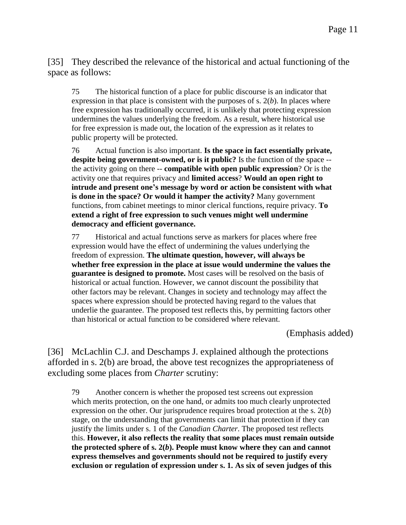[35] They described the relevance of the historical and actual functioning of the space as follows:

75 The historical function of a place for public discourse is an indicator that expression in that place is consistent with the purposes of s. 2(*b*). In places where free expression has traditionally occurred, it is unlikely that protecting expression undermines the values underlying the freedom. As a result, where historical use for free expression is made out, the location of the expression as it relates to public property will be protected.

76 Actual function is also important. **Is the space in fact essentially private, despite being government-owned, or is it public?** Is the function of the space - the activity going on there -- **compatible with open public expression**? Or is the activity one that requires privacy and **limited access**? **Would an open right to intrude and present one's message by word or action be consistent with what is done in the space? Or would it hamper the activity?** Many government functions, from cabinet meetings to minor clerical functions, require privacy. **To extend a right of free expression to such venues might well undermine democracy and efficient governance.**

77 Historical and actual functions serve as markers for places where free expression would have the effect of undermining the values underlying the freedom of expression. **The ultimate question, however, will always be whether free expression in the place at issue would undermine the values the guarantee is designed to promote.** Most cases will be resolved on the basis of historical or actual function. However, we cannot discount the possibility that other factors may be relevant. Changes in society and technology may affect the spaces where expression should be protected having regard to the values that underlie the guarantee. The proposed test reflects this, by permitting factors other than historical or actual function to be considered where relevant.

(Emphasis added)

[36] McLachlin C.J. and Deschamps J. explained although the protections afforded in s. 2(b) are broad, the above test recognizes the appropriateness of excluding some places from *Charter* scrutiny:

79 Another concern is whether the proposed test screens out expression which merits protection, on the one hand, or admits too much clearly unprotected expression on the other. Our jurisprudence requires broad protection at the s. 2(*b*) stage, on the understanding that governments can limit that protection if they can justify the limits under s. 1 of the *Canadian Charter*. The proposed test reflects this. **However, it also reflects the reality that some places must remain outside the protected sphere of s. 2(***b***). People must know where they can and cannot express themselves and governments should not be required to justify every exclusion or regulation of expression under s. 1. As six of seven judges of this**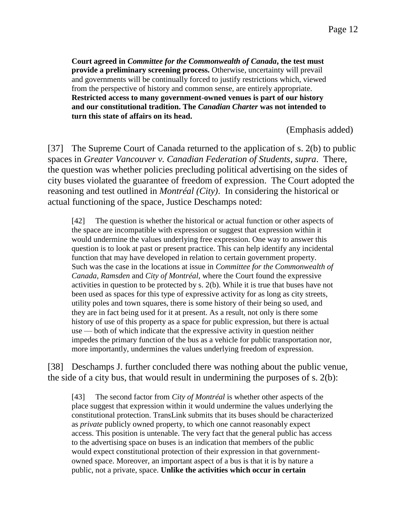**Court agreed in** *Committee for the Commonwealth of Canada***, the test must provide a preliminary screening process.** Otherwise, uncertainty will prevail and governments will be continually forced to justify restrictions which, viewed from the perspective of history and common sense, are entirely appropriate. **Restricted access to many government-owned venues is part of our history and our constitutional tradition. The** *Canadian Charter* **was not intended to turn this state of affairs on its head.**

(Emphasis added)

[37] The Supreme Court of Canada returned to the application of s. 2(b) to public spaces in *Greater Vancouver v. Canadian Federation of Students*, *supra*. There, the question was whether policies precluding political advertising on the sides of city buses violated the guarantee of freedom of expression. The Court adopted the reasoning and test outlined in *Montréal (City)*. In considering the historical or actual functioning of the space, Justice Deschamps noted:

[42] The question is whether the historical or actual function or other aspects of the space are incompatible with expression or suggest that expression within it would undermine the values underlying free expression. One way to answer this question is to look at past or present practice. This can help identify any incidental function that may have developed in relation to certain government property. Such was the case in the locations at issue in *Committee for the Commonwealth of Canada*, *Ramsden* and *City of Montréal*, where the Court found the expressive activities in question to be protected by s. 2(b). While it is true that buses have not been used as spaces for this type of expressive activity for as long as city streets, utility poles and town squares, there is some history of their being so used, and they are in fact being used for it at present. As a result, not only is there some history of use of this property as a space for public expression, but there is actual use — both of which indicate that the expressive activity in question neither impedes the primary function of the bus as a vehicle for public transportation nor, more importantly, undermines the values underlying freedom of expression.

[38] Deschamps J. further concluded there was nothing about the public venue, the side of a city bus, that would result in undermining the purposes of s. 2(b):

[43] The second factor from *City of Montréal* is whether other aspects of the place suggest that expression within it would undermine the values underlying the constitutional protection. TransLink submits that its buses should be characterized as *private* publicly owned property, to which one cannot reasonably expect access. This position is untenable. The very fact that the general public has access to the advertising space on buses is an indication that members of the public would expect constitutional protection of their expression in that governmentowned space. Moreover, an important aspect of a bus is that it is by nature a public, not a private, space. **Unlike the activities which occur in certain**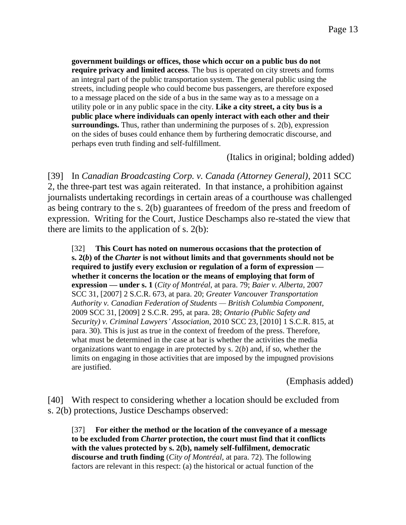**government buildings or offices, those which occur on a public bus do not require privacy and limited access**. The bus is operated on city streets and forms an integral part of the public transportation system. The general public using the streets, including people who could become bus passengers, are therefore exposed to a message placed on the side of a bus in the same way as to a message on a utility pole or in any public space in the city. **Like a city street, a city bus is a public place where individuals can openly interact with each other and their surroundings.** Thus, rather than undermining the purposes of s. 2(b), expression on the sides of buses could enhance them by furthering democratic discourse, and perhaps even truth finding and self-fulfillment.

(Italics in original; bolding added)

[39] In *Canadian Broadcasting Corp. v. Canada (Attorney General)*, 2011 SCC 2, the three-part test was again reiterated. In that instance, a prohibition against journalists undertaking recordings in certain areas of a courthouse was challenged as being contrary to the s. 2(b) guarantees of freedom of the press and freedom of expression. Writing for the Court, Justice Deschamps also re-stated the view that there are limits to the application of s. 2(b):

[32] **This Court has noted on numerous occasions that the protection of s. 2(***b***) of the** *Charter* **is not without limits and that governments should not be required to justify every exclusion or regulation of a form of expression whether it concerns the location or the means of employing that form of expression — under s. 1** (*City of Montréal*, at para. 79; *Baier v. Alberta*, 2007 SCC 31, [2007] 2 S.C.R. 673, at para. 20; *Greater Vancouver Transportation Authority v. Canadian Federation of Students — British Columbia Component*, 2009 SCC 31, [2009] 2 S.C.R. 295, at para. 28; *Ontario (Public Safety and Security) v. Criminal Lawyers' Association*, 2010 SCC 23, [2010] 1 S.C.R. 815, at para. 30). This is just as true in the context of freedom of the press. Therefore, what must be determined in the case at bar is whether the activities the media organizations want to engage in are protected by s. 2(*b*) and, if so, whether the limits on engaging in those activities that are imposed by the impugned provisions are justified.

(Emphasis added)

[40] With respect to considering whether a location should be excluded from s. 2(b) protections, Justice Deschamps observed:

[37] **For either the method or the location of the conveyance of a message to be excluded from** *Charter* **protection, the court must find that it conflicts with the values protected by s. 2(b), namely self-fulfilment, democratic discourse and truth finding** (*City of Montréal*, at para. 72). The following factors are relevant in this respect: (a) the historical or actual function of the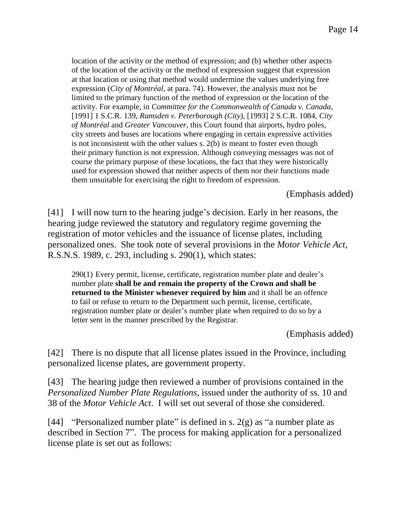location of the activity or the method of expression; and (b) whether other aspects of the location of the activity or the method of expression suggest that expression at that location or using that method would undermine the values underlying free expression (*City of Montréal*, at para. 74). However, the analysis must not be limited to the primary function of the method of expression or the location of the activity. For example, in *Committee for the Commonwealth of Canada v. Canada*, [1991] 1 S.C.R. 139, *Ramsden v. Peterborough (City)*, [1993] 2 S.C.R. 1084, *City of Montréal* and *Greater Vancouver*, this Court found that airports, hydro poles, city streets and buses are locations where engaging in certain expressive activities is not inconsistent with the other values s. 2(b) is meant to foster even though their primary function is not expression. Although conveying messages was not of course the primary purpose of these locations, the fact that they were historically used for expression showed that neither aspects of them nor their functions made them unsuitable for exercising the right to freedom of expression.

### (Emphasis added)

[41] I will now turn to the hearing judge's decision. Early in her reasons, the hearing judge reviewed the statutory and regulatory regime governing the registration of motor vehicles and the issuance of license plates, including personalized ones. She took note of several provisions in the *Motor Vehicle Act*, R.S.N.S. 1989, c. 293, including s. 290(1), which states:

290(1) Every permit, license, certificate, registration number plate and dealer's number plate **shall be and remain the property of the Crown and shall be returned to the Minister whenever required by him** and it shall be an offence to fail or refuse to return to the Department such permit, license, certificate, registration number plate or dealer's number plate when required to do so by a letter sent in the manner prescribed by the Registrar.

(Emphasis added)

[42] There is no dispute that all license plates issued in the Province, including personalized license plates, are government property.

[43] The hearing judge then reviewed a number of provisions contained in the *Personalized Number Plate Regulations*, issued under the authority of ss. 10 and 38 of the *Motor Vehicle Act*. I will set out several of those she considered.

[44] "Personalized number plate" is defined in s.  $2(g)$  as "a number plate as described in Section 7". The process for making application for a personalized license plate is set out as follows: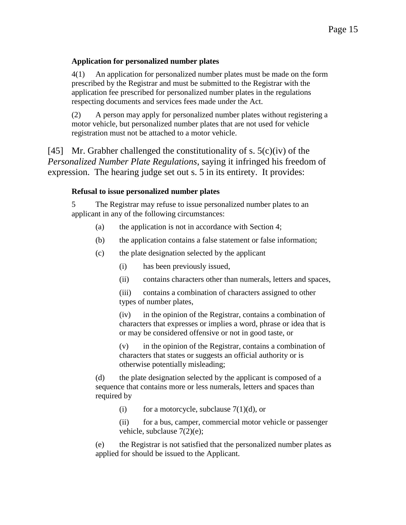#### **Application for personalized number plates**

4(1) An application for personalized number plates must be made on the form prescribed by the Registrar and must be submitted to the Registrar with the application fee prescribed for personalized number plates in the regulations respecting documents and services fees made under the Act.

(2) A person may apply for personalized number plates without registering a motor vehicle, but personalized number plates that are not used for vehicle registration must not be attached to a motor vehicle.

[45] Mr. Grabher challenged the constitutionality of s.  $5(c)(iv)$  of the *Personalized Number Plate Regulations*, saying it infringed his freedom of expression. The hearing judge set out s. 5 in its entirety. It provides:

#### **Refusal to issue personalized number plates**

5 The Registrar may refuse to issue personalized number plates to an applicant in any of the following circumstances:

- (a) the application is not in accordance with Section 4;
- (b) the application contains a false statement or false information;
- (c) the plate designation selected by the applicant
	- (i) has been previously issued,
	- (ii) contains characters other than numerals, letters and spaces,

(iii) contains a combination of characters assigned to other types of number plates,

(iv) in the opinion of the Registrar, contains a combination of characters that expresses or implies a word, phrase or idea that is or may be considered offensive or not in good taste, or

(v) in the opinion of the Registrar, contains a combination of characters that states or suggests an official authority or is otherwise potentially misleading;

(d) the plate designation selected by the applicant is composed of a sequence that contains more or less numerals, letters and spaces than required by

(i) for a motorcycle, subclause  $7(1)(d)$ , or

(ii) for a bus, camper, commercial motor vehicle or passenger vehicle, subclause 7(2)(e);

(e) the Registrar is not satisfied that the personalized number plates as applied for should be issued to the Applicant.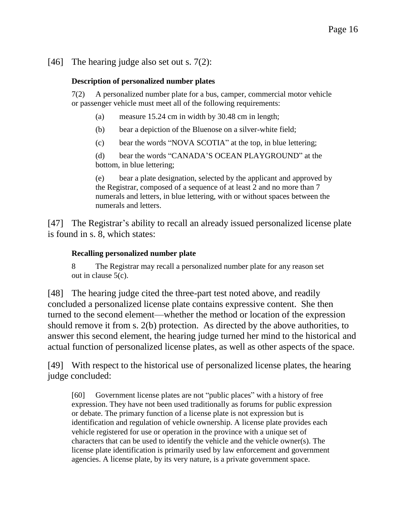[46] The hearing judge also set out s. 7(2):

### **Description of personalized number plates**

7(2) A personalized number plate for a bus, camper, commercial motor vehicle or passenger vehicle must meet all of the following requirements:

- (a) measure 15.24 cm in width by 30.48 cm in length;
- (b) bear a depiction of the Bluenose on a silver-white field;
- (c) bear the words "NOVA SCOTIA" at the top, in blue lettering;

(d) bear the words "CANADA'S OCEAN PLAYGROUND" at the bottom, in blue lettering;

(e) bear a plate designation, selected by the applicant and approved by the Registrar, composed of a sequence of at least 2 and no more than 7 numerals and letters, in blue lettering, with or without spaces between the numerals and letters.

[47] The Registrar's ability to recall an already issued personalized license plate is found in s. 8, which states:

### **Recalling personalized number plate**

8 The Registrar may recall a personalized number plate for any reason set out in clause 5(c).

[48] The hearing judge cited the three-part test noted above, and readily concluded a personalized license plate contains expressive content. She then turned to the second element—whether the method or location of the expression should remove it from s. 2(b) protection. As directed by the above authorities, to answer this second element, the hearing judge turned her mind to the historical and actual function of personalized license plates, as well as other aspects of the space.

[49] With respect to the historical use of personalized license plates, the hearing judge concluded:

[60] Government license plates are not "public places" with a history of free expression. They have not been used traditionally as forums for public expression or debate. The primary function of a license plate is not expression but is identification and regulation of vehicle ownership. A license plate provides each vehicle registered for use or operation in the province with a unique set of characters that can be used to identify the vehicle and the vehicle owner(s). The license plate identification is primarily used by law enforcement and government agencies. A license plate, by its very nature, is a private government space.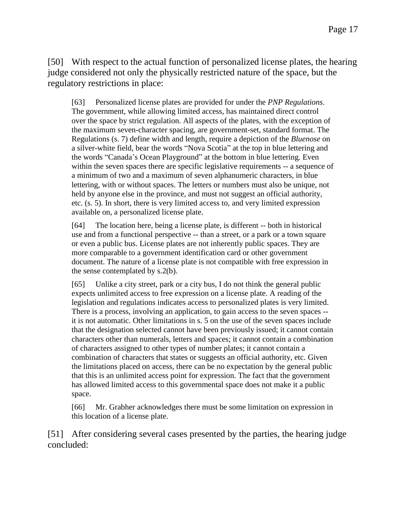[50] With respect to the actual function of personalized license plates, the hearing judge considered not only the physically restricted nature of the space, but the regulatory restrictions in place:

[63] Personalized license plates are provided for under the *PNP Regulations*. The government, while allowing limited access, has maintained direct control over the space by strict regulation. All aspects of the plates, with the exception of the maximum seven-character spacing, are government-set, standard format. The Regulations (s. 7) define width and length, require a depiction of the *Bluenose* on a silver-white field, bear the words "Nova Scotia" at the top in blue lettering and the words "Canada's Ocean Playground" at the bottom in blue lettering. Even within the seven spaces there are specific legislative requirements -- a sequence of a minimum of two and a maximum of seven alphanumeric characters, in blue lettering, with or without spaces. The letters or numbers must also be unique, not held by anyone else in the province, and must not suggest an official authority, etc. (s. 5). In short, there is very limited access to, and very limited expression available on, a personalized license plate.

[64] The location here, being a license plate, is different -- both in historical use and from a functional perspective -- than a street, or a park or a town square or even a public bus. License plates are not inherently public spaces. They are more comparable to a government identification card or other government document. The nature of a license plate is not compatible with free expression in the sense contemplated by s.2(b).

[65] Unlike a city street, park or a city bus, I do not think the general public expects unlimited access to free expression on a license plate. A reading of the legislation and regulations indicates access to personalized plates is very limited. There is a process, involving an application, to gain access to the seven spaces - it is not automatic. Other limitations in s. 5 on the use of the seven spaces include that the designation selected cannot have been previously issued; it cannot contain characters other than numerals, letters and spaces; it cannot contain a combination of characters assigned to other types of number plates; it cannot contain a combination of characters that states or suggests an official authority, etc. Given the limitations placed on access, there can be no expectation by the general public that this is an unlimited access point for expression. The fact that the government has allowed limited access to this governmental space does not make it a public space.

[66] Mr. Grabher acknowledges there must be some limitation on expression in this location of a license plate.

[51] After considering several cases presented by the parties, the hearing judge concluded: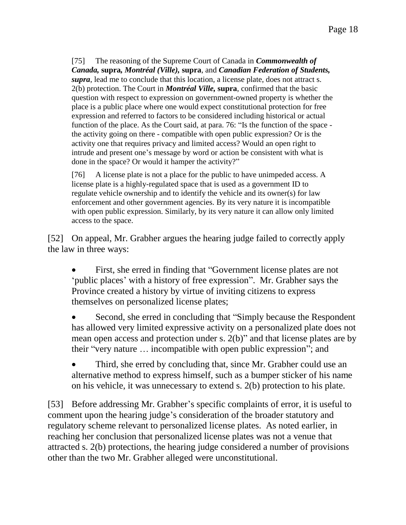[75] The reasoning of the Supreme Court of Canada in *Commonwealth of Canada,* **supra***, Montréal (Ville),* **supra**, and *Canadian Federation of Students, supra*, lead me to conclude that this location, a license plate, does not attract s. 2(b) protection. The Court in *Montréal Ville,* **supra**, confirmed that the basic question with respect to expression on government-owned property is whether the place is a public place where one would expect constitutional protection for free expression and referred to factors to be considered including historical or actual function of the place. As the Court said, at para. 76: "Is the function of the space the activity going on there - compatible with open public expression? Or is the activity one that requires privacy and limited access? Would an open right to intrude and present one's message by word or action be consistent with what is done in the space? Or would it hamper the activity?"

[76] A license plate is not a place for the public to have unimpeded access. A license plate is a highly-regulated space that is used as a government ID to regulate vehicle ownership and to identify the vehicle and its owner(s) for law enforcement and other government agencies. By its very nature it is incompatible with open public expression. Similarly, by its very nature it can allow only limited access to the space.

[52] On appeal, Mr. Grabher argues the hearing judge failed to correctly apply the law in three ways:

 First, she erred in finding that "Government license plates are not 'public places' with a history of free expression". Mr. Grabher says the Province created a history by virtue of inviting citizens to express themselves on personalized license plates;

 Second, she erred in concluding that "Simply because the Respondent has allowed very limited expressive activity on a personalized plate does not mean open access and protection under s. 2(b)" and that license plates are by their "very nature … incompatible with open public expression"; and

 Third, she erred by concluding that, since Mr. Grabher could use an alternative method to express himself, such as a bumper sticker of his name on his vehicle, it was unnecessary to extend s. 2(b) protection to his plate.

[53] Before addressing Mr. Grabher's specific complaints of error, it is useful to comment upon the hearing judge's consideration of the broader statutory and regulatory scheme relevant to personalized license plates. As noted earlier, in reaching her conclusion that personalized license plates was not a venue that attracted s. 2(b) protections, the hearing judge considered a number of provisions other than the two Mr. Grabher alleged were unconstitutional.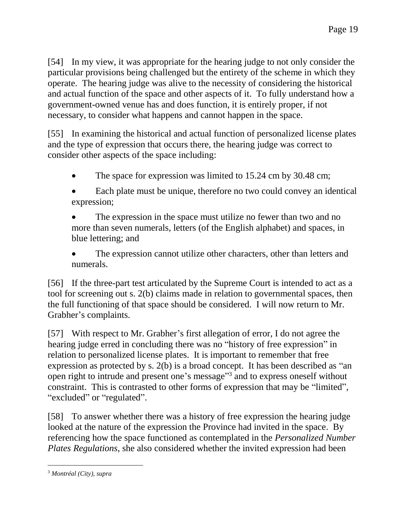[54] In my view, it was appropriate for the hearing judge to not only consider the particular provisions being challenged but the entirety of the scheme in which they operate. The hearing judge was alive to the necessity of considering the historical and actual function of the space and other aspects of it. To fully understand how a government-owned venue has and does function, it is entirely proper, if not necessary, to consider what happens and cannot happen in the space.

[55] In examining the historical and actual function of personalized license plates and the type of expression that occurs there, the hearing judge was correct to consider other aspects of the space including:

- The space for expression was limited to 15.24 cm by 30.48 cm;
- Each plate must be unique, therefore no two could convey an identical expression;
- The expression in the space must utilize no fewer than two and no more than seven numerals, letters (of the English alphabet) and spaces, in blue lettering; and
- The expression cannot utilize other characters, other than letters and numerals.

[56] If the three-part test articulated by the Supreme Court is intended to act as a tool for screening out s. 2(b) claims made in relation to governmental spaces, then the full functioning of that space should be considered. I will now return to Mr. Grabher's complaints.

[57] With respect to Mr. Grabher's first allegation of error, I do not agree the hearing judge erred in concluding there was no "history of free expression" in relation to personalized license plates. It is important to remember that free expression as protected by s. 2(b) is a broad concept. It has been described as "an open right to intrude and present one's message" 3 and to express oneself without constraint. This is contrasted to other forms of expression that may be "limited", "excluded" or "regulated".

[58] To answer whether there was a history of free expression the hearing judge looked at the nature of the expression the Province had invited in the space. By referencing how the space functioned as contemplated in the *Personalized Number Plates Regulations*, she also considered whether the invited expression had been

 $\overline{a}$ <sup>3</sup> *Montréal (City), supra*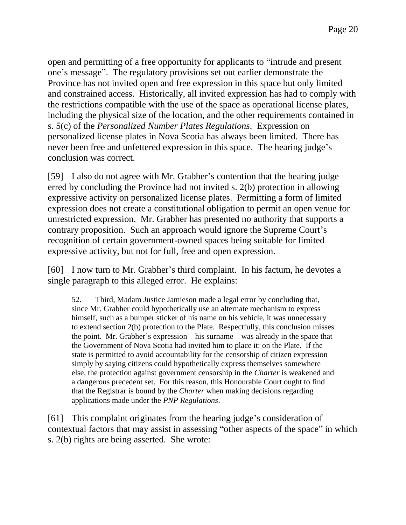open and permitting of a free opportunity for applicants to "intrude and present one's message". The regulatory provisions set out earlier demonstrate the Province has not invited open and free expression in this space but only limited and constrained access. Historically, all invited expression has had to comply with the restrictions compatible with the use of the space as operational license plates, including the physical size of the location, and the other requirements contained in s. 5(c) of the *Personalized Number Plates Regulations*. Expression on personalized license plates in Nova Scotia has always been limited. There has never been free and unfettered expression in this space. The hearing judge's conclusion was correct.

[59] I also do not agree with Mr. Grabher's contention that the hearing judge erred by concluding the Province had not invited s. 2(b) protection in allowing expressive activity on personalized license plates. Permitting a form of limited expression does not create a constitutional obligation to permit an open venue for unrestricted expression. Mr. Grabher has presented no authority that supports a contrary proposition. Such an approach would ignore the Supreme Court's recognition of certain government-owned spaces being suitable for limited expressive activity, but not for full, free and open expression.

[60] I now turn to Mr. Grabher's third complaint. In his factum, he devotes a single paragraph to this alleged error. He explains:

52. Third, Madam Justice Jamieson made a legal error by concluding that, since Mr. Grabher could hypothetically use an alternate mechanism to express himself, such as a bumper sticker of his name on his vehicle, it was unnecessary to extend section 2(b) protection to the Plate. Respectfully, this conclusion misses the point. Mr. Grabher's expression – his surname – was already in the space that the Government of Nova Scotia had invited him to place it: on the Plate. If the state is permitted to avoid accountability for the censorship of citizen expression simply by saying citizens could hypothetically express themselves somewhere else, the protection against government censorship in the *Charter* is weakened and a dangerous precedent set. For this reason, this Honourable Court ought to find that the Registrar is bound by the *Charter* when making decisions regarding applications made under the *PNP Regulations*.

[61] This complaint originates from the hearing judge's consideration of contextual factors that may assist in assessing "other aspects of the space" in which s. 2(b) rights are being asserted. She wrote: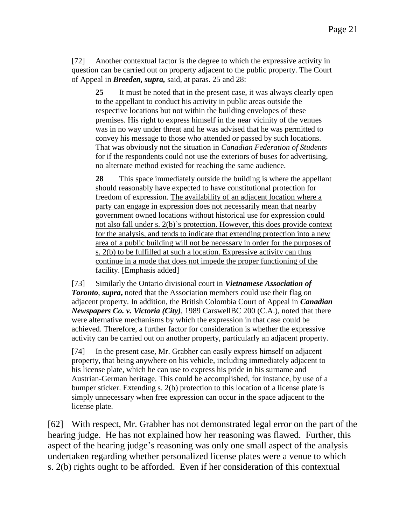[72] Another contextual factor is the degree to which the expressive activity in question can be carried out on property adjacent to the public property. The Court of Appeal in *Breeden, supra,* said, at paras. 25 and 28:

**25** It must be noted that in the present case, it was always clearly open to the appellant to conduct his activity in public areas outside the respective locations but not within the building envelopes of these premises. His right to express himself in the near vicinity of the venues was in no way under threat and he was advised that he was permitted to convey his message to those who attended or passed by such locations. That was obviously not the situation in *Canadian Federation of Students*  for if the respondents could not use the exteriors of buses for advertising, no alternate method existed for reaching the same audience.

**28** This space immediately outside the building is where the appellant should reasonably have expected to have constitutional protection for freedom of expression. The availability of an adjacent location where a party can engage in expression does not necessarily mean that nearby government owned locations without historical use for expression could not also fall under s. 2(b)'s protection. However, this does provide context for the analysis, and tends to indicate that extending protection into a new area of a public building will not be necessary in order for the purposes of s. 2(b) to be fulfilled at such a location. Expressive activity can thus continue in a mode that does not impede the proper functioning of the facility. [Emphasis added]

[73] Similarly the Ontario divisional court in *Vietnamese Association of Toronto*, *supra*, noted that the Association members could use their flag on adjacent property. In addition, the British Colombia Court of Appeal in *Canadian Newspapers Co. v. Victoria (City)*, 1989 CarswellBC 200 (C.A.), noted that there were alternative mechanisms by which the expression in that case could be achieved. Therefore, a further factor for consideration is whether the expressive activity can be carried out on another property, particularly an adjacent property.

[74] In the present case, Mr. Grabher can easily express himself on adjacent property, that being anywhere on his vehicle, including immediately adjacent to his license plate, which he can use to express his pride in his surname and Austrian-German heritage. This could be accomplished, for instance, by use of a bumper sticker. Extending s. 2(b) protection to this location of a license plate is simply unnecessary when free expression can occur in the space adjacent to the license plate.

[62] With respect, Mr. Grabher has not demonstrated legal error on the part of the hearing judge. He has not explained how her reasoning was flawed. Further, this aspect of the hearing judge's reasoning was only one small aspect of the analysis undertaken regarding whether personalized license plates were a venue to which s. 2(b) rights ought to be afforded. Even if her consideration of this contextual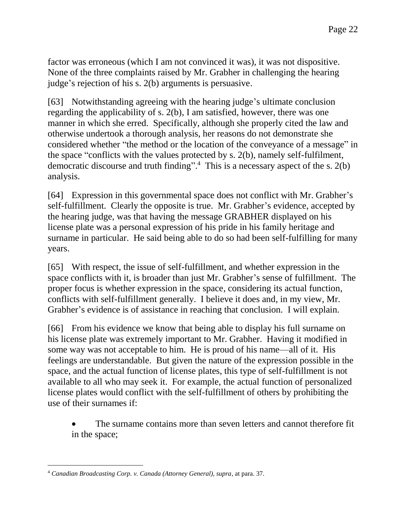factor was erroneous (which I am not convinced it was), it was not dispositive. None of the three complaints raised by Mr. Grabher in challenging the hearing judge's rejection of his s. 2(b) arguments is persuasive.

[63] Notwithstanding agreeing with the hearing judge's ultimate conclusion regarding the applicability of s. 2(b), I am satisfied, however, there was one manner in which she erred. Specifically, although she properly cited the law and otherwise undertook a thorough analysis, her reasons do not demonstrate she considered whether "the method or the location of the conveyance of a message" in the space "conflicts with the values protected by s. 2(b), namely self-fulfilment, democratic discourse and truth finding". 4 This is a necessary aspect of the s. 2(b) analysis.

[64] Expression in this governmental space does not conflict with Mr. Grabher's self-fulfillment. Clearly the opposite is true. Mr. Grabher's evidence, accepted by the hearing judge, was that having the message GRABHER displayed on his license plate was a personal expression of his pride in his family heritage and surname in particular. He said being able to do so had been self-fulfilling for many years.

[65] With respect, the issue of self-fulfillment, and whether expression in the space conflicts with it, is broader than just Mr. Grabher's sense of fulfillment. The proper focus is whether expression in the space, considering its actual function, conflicts with self-fulfillment generally. I believe it does and, in my view, Mr. Grabher's evidence is of assistance in reaching that conclusion. I will explain.

[66] From his evidence we know that being able to display his full surname on his license plate was extremely important to Mr. Grabher. Having it modified in some way was not acceptable to him. He is proud of his name—all of it. His feelings are understandable. But given the nature of the expression possible in the space, and the actual function of license plates, this type of self-fulfillment is not available to all who may seek it. For example, the actual function of personalized license plates would conflict with the self-fulfillment of others by prohibiting the use of their surnames if:

 The surname contains more than seven letters and cannot therefore fit in the space;

 $\overline{a}$ <sup>4</sup> *Canadian Broadcasting Corp. v. Canada (Attorney General), supra*, at para. 37.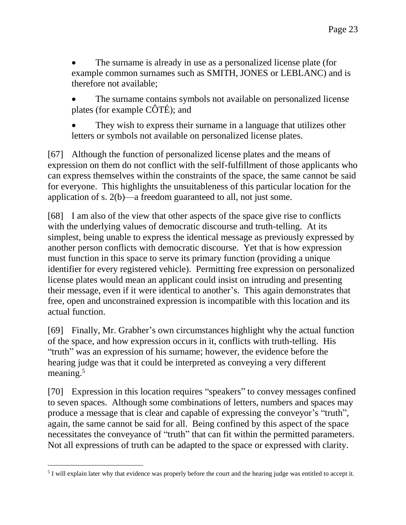The surname is already in use as a personalized license plate (for example common surnames such as SMITH, JONES or LEBLANC) and is therefore not available;

 The surname contains symbols not available on personalized license plates (for example CÔTÉ); and

 They wish to express their surname in a language that utilizes other letters or symbols not available on personalized license plates.

[67] Although the function of personalized license plates and the means of expression on them do not conflict with the self-fulfillment of those applicants who can express themselves within the constraints of the space, the same cannot be said for everyone. This highlights the unsuitableness of this particular location for the application of s. 2(b)—a freedom guaranteed to all, not just some.

[68] I am also of the view that other aspects of the space give rise to conflicts with the underlying values of democratic discourse and truth-telling. At its simplest, being unable to express the identical message as previously expressed by another person conflicts with democratic discourse. Yet that is how expression must function in this space to serve its primary function (providing a unique identifier for every registered vehicle). Permitting free expression on personalized license plates would mean an applicant could insist on intruding and presenting their message, even if it were identical to another's. This again demonstrates that free, open and unconstrained expression is incompatible with this location and its actual function.

[69] Finally, Mr. Grabher's own circumstances highlight why the actual function of the space, and how expression occurs in it, conflicts with truth-telling. His "truth" was an expression of his surname; however, the evidence before the hearing judge was that it could be interpreted as conveying a very different meaning.<sup>5</sup>

[70] Expression in this location requires "speakers" to convey messages confined to seven spaces. Although some combinations of letters, numbers and spaces may produce a message that is clear and capable of expressing the conveyor's "truth", again, the same cannot be said for all. Being confined by this aspect of the space necessitates the conveyance of "truth" that can fit within the permitted parameters. Not all expressions of truth can be adapted to the space or expressed with clarity.

 $\overline{a}$  $<sup>5</sup>$  I will explain later why that evidence was properly before the court and the hearing judge was entitled to accept it.</sup>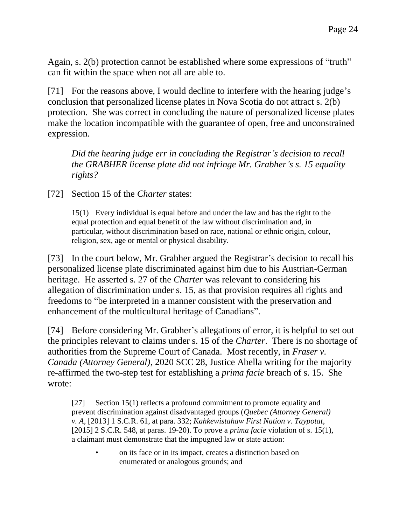Again, s. 2(b) protection cannot be established where some expressions of "truth" can fit within the space when not all are able to.

[71] For the reasons above, I would decline to interfere with the hearing judge's conclusion that personalized license plates in Nova Scotia do not attract s. 2(b) protection. She was correct in concluding the nature of personalized license plates make the location incompatible with the guarantee of open, free and unconstrained expression.

*Did the hearing judge err in concluding the Registrar's decision to recall the GRABHER license plate did not infringe Mr. Grabher's s. 15 equality rights?*

[72] Section 15 of the *Charter* states:

15(1) Every individual is equal before and under the law and has the right to the equal protection and equal benefit of the law without discrimination and, in particular, without discrimination based on race, national or ethnic origin, colour, religion, sex, age or mental or physical disability.

[73] In the court below, Mr. Grabher argued the Registrar's decision to recall his personalized license plate discriminated against him due to his Austrian-German heritage. He asserted s. 27 of the *Charter* was relevant to considering his allegation of discrimination under s. 15, as that provision requires all rights and freedoms to "be interpreted in a manner consistent with the preservation and enhancement of the multicultural heritage of Canadians".

[74] Before considering Mr. Grabher's allegations of error, it is helpful to set out the principles relevant to claims under s. 15 of the *Charter*. There is no shortage of authorities from the Supreme Court of Canada. Most recently, in *Fraser v. Canada (Attorney General)*, 2020 SCC 28, Justice Abella writing for the majority re-affirmed the two-step test for establishing a *prima facie* breach of s. 15. She wrote:

[27] Section 15(1) reflects a profound commitment to promote equality and prevent discrimination against disadvantaged groups (*Quebec (Attorney General) v. A*, [2013] 1 S.C.R. 61, at para. 332; *Kahkewistahaw First Nation v. Taypotat*, [2015] 2 S.C.R. 548, at paras. 19-20). To prove a *prima facie* violation of s. 15(1), a claimant must demonstrate that the impugned law or state action:

• on its face or in its impact, creates a distinction based on enumerated or analogous grounds; and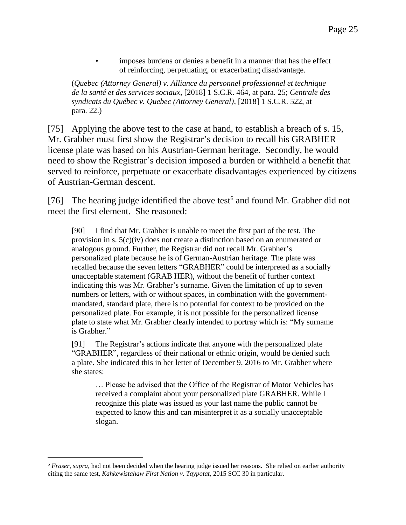• imposes burdens or denies a benefit in a manner that has the effect of reinforcing, perpetuating, or exacerbating disadvantage.

(*Quebec (Attorney General) v. Alliance du personnel professionnel et technique de la santé et des services sociaux*, [2018] 1 S.C.R. 464, at para. 25; *Centrale des syndicats du Québec v. Quebec (Attorney General)*, [2018] 1 S.C.R. 522, at para. 22.)

[75] Applying the above test to the case at hand, to establish a breach of s. 15, Mr. Grabher must first show the Registrar's decision to recall his GRABHER license plate was based on his Austrian-German heritage. Secondly, he would need to show the Registrar's decision imposed a burden or withheld a benefit that served to reinforce, perpetuate or exacerbate disadvantages experienced by citizens of Austrian-German descent.

[76] The hearing judge identified the above test<sup>6</sup> and found Mr. Grabher did not meet the first element. She reasoned:

[90] I find that Mr. Grabher is unable to meet the first part of the test. The provision in s.  $5(c)(iv)$  does not create a distinction based on an enumerated or analogous ground. Further, the Registrar did not recall Mr. Grabher's personalized plate because he is of German-Austrian heritage. The plate was recalled because the seven letters "GRABHER" could be interpreted as a socially unacceptable statement (GRAB HER), without the benefit of further context indicating this was Mr. Grabher's surname. Given the limitation of up to seven numbers or letters, with or without spaces, in combination with the governmentmandated, standard plate, there is no potential for context to be provided on the personalized plate. For example, it is not possible for the personalized license plate to state what Mr. Grabher clearly intended to portray which is: "My surname is Grabher."

[91] The Registrar's actions indicate that anyone with the personalized plate "GRABHER", regardless of their national or ethnic origin, would be denied such a plate. She indicated this in her letter of December 9, 2016 to Mr. Grabher where she states:

… Please be advised that the Office of the Registrar of Motor Vehicles has received a complaint about your personalized plate GRABHER. While I recognize this plate was issued as your last name the public cannot be expected to know this and can misinterpret it as a socially unacceptable slogan.

l

<sup>&</sup>lt;sup>6</sup> *Fraser, supra*, had not been decided when the hearing judge issued her reasons. She relied on earlier authority citing the same test, *Kahkewistahaw First Nation v. Taypotat*, 2015 SCC 30 in particular.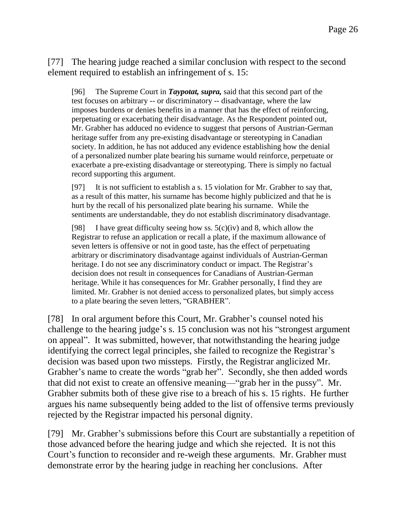[77] The hearing judge reached a similar conclusion with respect to the second element required to establish an infringement of s. 15:

[96] The Supreme Court in *Taypotat, supra,* said that this second part of the test focuses on arbitrary -- or discriminatory -- disadvantage, where the law imposes burdens or denies benefits in a manner that has the effect of reinforcing, perpetuating or exacerbating their disadvantage. As the Respondent pointed out, Mr. Grabher has adduced no evidence to suggest that persons of Austrian-German heritage suffer from any pre-existing disadvantage or stereotyping in Canadian society. In addition, he has not adduced any evidence establishing how the denial of a personalized number plate bearing his surname would reinforce, perpetuate or exacerbate a pre-existing disadvantage or stereotyping. There is simply no factual record supporting this argument.

[97] It is not sufficient to establish a s. 15 violation for Mr. Grabher to say that, as a result of this matter, his surname has become highly publicized and that he is hurt by the recall of his personalized plate bearing his surname. While the sentiments are understandable, they do not establish discriminatory disadvantage.

[98] I have great difficulty seeing how ss.  $5(c)(iv)$  and 8, which allow the Registrar to refuse an application or recall a plate, if the maximum allowance of seven letters is offensive or not in good taste, has the effect of perpetuating arbitrary or discriminatory disadvantage against individuals of Austrian-German heritage. I do not see any discriminatory conduct or impact. The Registrar's decision does not result in consequences for Canadians of Austrian-German heritage. While it has consequences for Mr. Grabher personally, I find they are limited. Mr. Grabher is not denied access to personalized plates, but simply access to a plate bearing the seven letters, "GRABHER".

[78] In oral argument before this Court, Mr. Grabher's counsel noted his challenge to the hearing judge's s. 15 conclusion was not his "strongest argument on appeal". It was submitted, however, that notwithstanding the hearing judge identifying the correct legal principles, she failed to recognize the Registrar's decision was based upon two missteps. Firstly, the Registrar anglicized Mr. Grabher's name to create the words "grab her". Secondly, she then added words that did not exist to create an offensive meaning—"grab her in the pussy". Mr. Grabher submits both of these give rise to a breach of his s. 15 rights. He further argues his name subsequently being added to the list of offensive terms previously rejected by the Registrar impacted his personal dignity.

[79] Mr. Grabher's submissions before this Court are substantially a repetition of those advanced before the hearing judge and which she rejected. It is not this Court's function to reconsider and re-weigh these arguments. Mr. Grabher must demonstrate error by the hearing judge in reaching her conclusions. After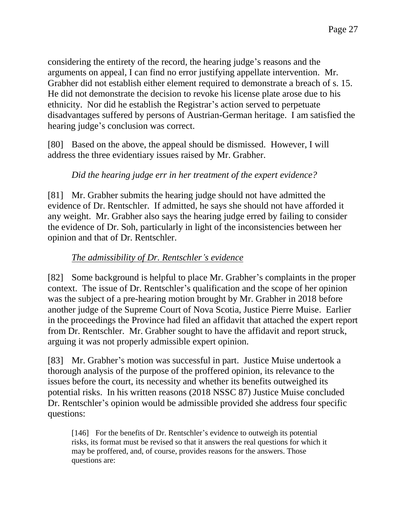considering the entirety of the record, the hearing judge's reasons and the arguments on appeal, I can find no error justifying appellate intervention. Mr. Grabher did not establish either element required to demonstrate a breach of s. 15. He did not demonstrate the decision to revoke his license plate arose due to his ethnicity. Nor did he establish the Registrar's action served to perpetuate disadvantages suffered by persons of Austrian-German heritage. I am satisfied the hearing judge's conclusion was correct.

[80] Based on the above, the appeal should be dismissed. However, I will address the three evidentiary issues raised by Mr. Grabher.

# *Did the hearing judge err in her treatment of the expert evidence?*

[81] Mr. Grabher submits the hearing judge should not have admitted the evidence of Dr. Rentschler. If admitted, he says she should not have afforded it any weight. Mr. Grabher also says the hearing judge erred by failing to consider the evidence of Dr. Soh, particularly in light of the inconsistencies between her opinion and that of Dr. Rentschler.

# *The admissibility of Dr. Rentschler's evidence*

[82] Some background is helpful to place Mr. Grabher's complaints in the proper context. The issue of Dr. Rentschler's qualification and the scope of her opinion was the subject of a pre-hearing motion brought by Mr. Grabher in 2018 before another judge of the Supreme Court of Nova Scotia, Justice Pierre Muise. Earlier in the proceedings the Province had filed an affidavit that attached the expert report from Dr. Rentschler. Mr. Grabher sought to have the affidavit and report struck, arguing it was not properly admissible expert opinion.

[83] Mr. Grabher's motion was successful in part. Justice Muise undertook a thorough analysis of the purpose of the proffered opinion, its relevance to the issues before the court, its necessity and whether its benefits outweighed its potential risks. In his written reasons (2018 NSSC 87) Justice Muise concluded Dr. Rentschler's opinion would be admissible provided she address four specific questions:

[146] For the benefits of Dr. Rentschler's evidence to outweigh its potential risks, its format must be revised so that it answers the real questions for which it may be proffered, and, of course, provides reasons for the answers. Those questions are: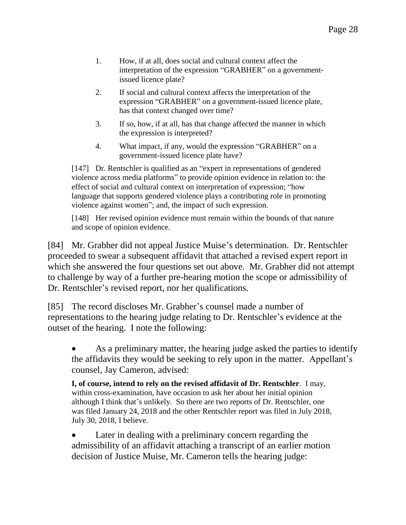- 1. How, if at all, does social and cultural context affect the interpretation of the expression "GRABHER" on a governmentissued licence plate?
- 2. If social and cultural context affects the interpretation of the expression "GRABHER" on a government-issued licence plate, has that context changed over time?
- 3. If so, how, if at all, has that change affected the manner in which the expression is interpreted?
- 4. What impact, if any, would the expression "GRABHER" on a government-issued licence plate have?

[147] Dr. Rentschler is qualified as an "expert in representations of gendered violence across media platforms" to provide opinion evidence in relation to: the effect of social and cultural context on interpretation of expression; "how language that supports gendered violence plays a contributing role in promoting violence against women"; and, the impact of such expression.

[148] Her revised opinion evidence must remain within the bounds of that nature and scope of opinion evidence.

[84] Mr. Grabher did not appeal Justice Muise's determination. Dr. Rentschler proceeded to swear a subsequent affidavit that attached a revised expert report in which she answered the four questions set out above. Mr. Grabher did not attempt to challenge by way of a further pre-hearing motion the scope or admissibility of Dr. Rentschler's revised report, nor her qualifications.

[85] The record discloses Mr. Grabher's counsel made a number of representations to the hearing judge relating to Dr. Rentschler's evidence at the outset of the hearing. I note the following:

 As a preliminary matter, the hearing judge asked the parties to identify the affidavits they would be seeking to rely upon in the matter. Appellant's counsel, Jay Cameron, advised:

**I, of course, intend to rely on the revised affidavit of Dr. Rentschler**. I may, within cross-examination, have occasion to ask her about her initial opinion although I think that's unlikely. So there are two reports of Dr. Rentschler, one was filed January 24, 2018 and the other Rentschler report was filed in July 2018, July 30, 2018, I believe.

 Later in dealing with a preliminary concern regarding the admissibility of an affidavit attaching a transcript of an earlier motion decision of Justice Muise, Mr. Cameron tells the hearing judge: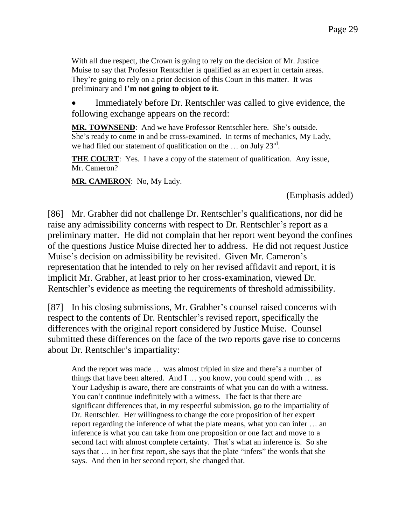With all due respect, the Crown is going to rely on the decision of Mr. Justice Muise to say that Professor Rentschler is qualified as an expert in certain areas. They're going to rely on a prior decision of this Court in this matter. It was preliminary and **I'm not going to object to it**.

 Immediately before Dr. Rentschler was called to give evidence, the following exchange appears on the record:

**MR. TOWNSEND**: And we have Professor Rentschler here. She's outside. She's ready to come in and be cross-examined. In terms of mechanics, My Lady, we had filed our statement of qualification on the ... on July 23rd.

**THE COURT**: Yes. I have a copy of the statement of qualification. Any issue, Mr. Cameron?

**MR. CAMERON**: No, My Lady.

(Emphasis added)

[86] Mr. Grabher did not challenge Dr. Rentschler's qualifications, nor did he raise any admissibility concerns with respect to Dr. Rentschler's report as a preliminary matter. He did not complain that her report went beyond the confines of the questions Justice Muise directed her to address. He did not request Justice Muise's decision on admissibility be revisited. Given Mr. Cameron's representation that he intended to rely on her revised affidavit and report, it is implicit Mr. Grabher, at least prior to her cross-examination, viewed Dr. Rentschler's evidence as meeting the requirements of threshold admissibility.

[87] In his closing submissions, Mr. Grabher's counsel raised concerns with respect to the contents of Dr. Rentschler's revised report, specifically the differences with the original report considered by Justice Muise. Counsel submitted these differences on the face of the two reports gave rise to concerns about Dr. Rentschler's impartiality:

And the report was made … was almost tripled in size and there's a number of things that have been altered. And I … you know, you could spend with … as Your Ladyship is aware, there are constraints of what you can do with a witness. You can't continue indefinitely with a witness. The fact is that there are significant differences that, in my respectful submission, go to the impartiality of Dr. Rentschler. Her willingness to change the core proposition of her expert report regarding the inference of what the plate means, what you can infer … an inference is what you can take from one proposition or one fact and move to a second fact with almost complete certainty. That's what an inference is. So she says that … in her first report, she says that the plate "infers" the words that she says. And then in her second report, she changed that.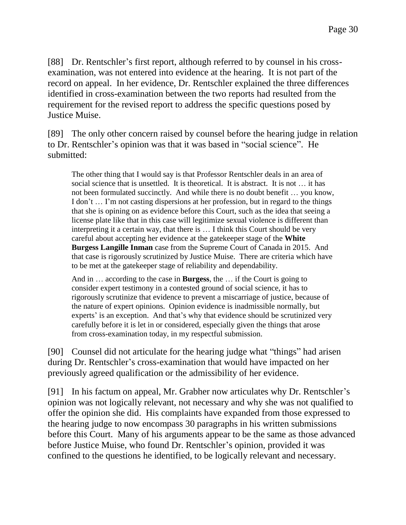[88] Dr. Rentschler's first report, although referred to by counsel in his crossexamination, was not entered into evidence at the hearing. It is not part of the record on appeal. In her evidence, Dr. Rentschler explained the three differences identified in cross-examination between the two reports had resulted from the requirement for the revised report to address the specific questions posed by Justice Muise.

[89] The only other concern raised by counsel before the hearing judge in relation to Dr. Rentschler's opinion was that it was based in "social science". He submitted:

The other thing that I would say is that Professor Rentschler deals in an area of social science that is unsettled. It is theoretical. It is abstract. It is not … it has not been formulated succinctly. And while there is no doubt benefit … you know, I don't … I'm not casting dispersions at her profession, but in regard to the things that she is opining on as evidence before this Court, such as the idea that seeing a license plate like that in this case will legitimize sexual violence is different than interpreting it a certain way, that there is … I think this Court should be very careful about accepting her evidence at the gatekeeper stage of the **White Burgess Langille Inman** case from the Supreme Court of Canada in 2015. And that case is rigorously scrutinized by Justice Muise. There are criteria which have to be met at the gatekeeper stage of reliability and dependability.

And in … according to the case in **Burgess**, the … if the Court is going to consider expert testimony in a contested ground of social science, it has to rigorously scrutinize that evidence to prevent a miscarriage of justice, because of the nature of expert opinions. Opinion evidence is inadmissible normally, but experts' is an exception. And that's why that evidence should be scrutinized very carefully before it is let in or considered, especially given the things that arose from cross-examination today, in my respectful submission.

[90] Counsel did not articulate for the hearing judge what "things" had arisen during Dr. Rentschler's cross-examination that would have impacted on her previously agreed qualification or the admissibility of her evidence.

[91] In his factum on appeal, Mr. Grabher now articulates why Dr. Rentschler's opinion was not logically relevant, not necessary and why she was not qualified to offer the opinion she did. His complaints have expanded from those expressed to the hearing judge to now encompass 30 paragraphs in his written submissions before this Court. Many of his arguments appear to be the same as those advanced before Justice Muise, who found Dr. Rentschler's opinion, provided it was confined to the questions he identified, to be logically relevant and necessary.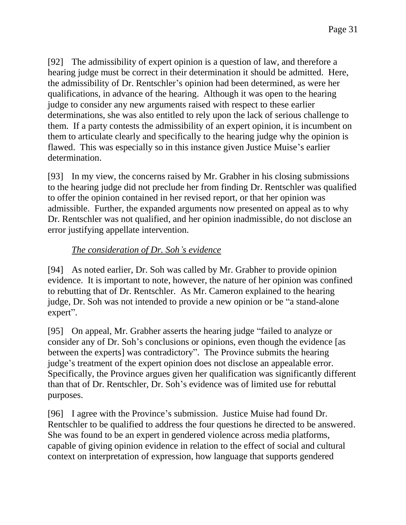[92] The admissibility of expert opinion is a question of law, and therefore a hearing judge must be correct in their determination it should be admitted. Here, the admissibility of Dr. Rentschler's opinion had been determined, as were her qualifications, in advance of the hearing. Although it was open to the hearing judge to consider any new arguments raised with respect to these earlier determinations, she was also entitled to rely upon the lack of serious challenge to them. If a party contests the admissibility of an expert opinion, it is incumbent on them to articulate clearly and specifically to the hearing judge why the opinion is flawed. This was especially so in this instance given Justice Muise's earlier determination.

[93] In my view, the concerns raised by Mr. Grabher in his closing submissions to the hearing judge did not preclude her from finding Dr. Rentschler was qualified to offer the opinion contained in her revised report, or that her opinion was admissible. Further, the expanded arguments now presented on appeal as to why Dr. Rentschler was not qualified, and her opinion inadmissible, do not disclose an error justifying appellate intervention.

# *The consideration of Dr. Soh's evidence*

[94] As noted earlier, Dr. Soh was called by Mr. Grabher to provide opinion evidence. It is important to note, however, the nature of her opinion was confined to rebutting that of Dr. Rentschler. As Mr. Cameron explained to the hearing judge, Dr. Soh was not intended to provide a new opinion or be "a stand-alone expert".

[95] On appeal, Mr. Grabher asserts the hearing judge "failed to analyze or consider any of Dr. Soh's conclusions or opinions, even though the evidence [as between the experts] was contradictory". The Province submits the hearing judge's treatment of the expert opinion does not disclose an appealable error. Specifically, the Province argues given her qualification was significantly different than that of Dr. Rentschler, Dr. Soh's evidence was of limited use for rebuttal purposes.

[96] I agree with the Province's submission. Justice Muise had found Dr. Rentschler to be qualified to address the four questions he directed to be answered. She was found to be an expert in gendered violence across media platforms, capable of giving opinion evidence in relation to the effect of social and cultural context on interpretation of expression, how language that supports gendered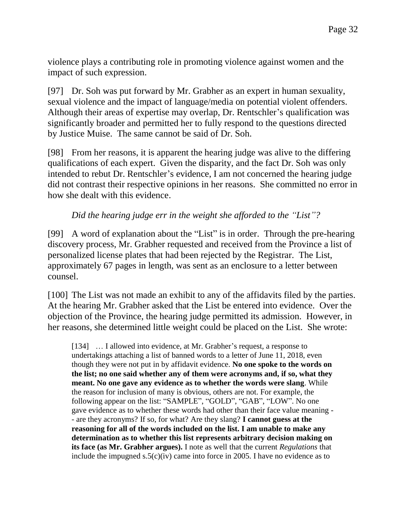violence plays a contributing role in promoting violence against women and the impact of such expression.

[97] Dr. Soh was put forward by Mr. Grabher as an expert in human sexuality, sexual violence and the impact of language/media on potential violent offenders. Although their areas of expertise may overlap, Dr. Rentschler's qualification was significantly broader and permitted her to fully respond to the questions directed by Justice Muise. The same cannot be said of Dr. Soh.

[98] From her reasons, it is apparent the hearing judge was alive to the differing qualifications of each expert. Given the disparity, and the fact Dr. Soh was only intended to rebut Dr. Rentschler's evidence, I am not concerned the hearing judge did not contrast their respective opinions in her reasons. She committed no error in how she dealt with this evidence.

# *Did the hearing judge err in the weight she afforded to the "List"?*

[99] A word of explanation about the "List" is in order. Through the pre-hearing discovery process, Mr. Grabher requested and received from the Province a list of personalized license plates that had been rejected by the Registrar. The List, approximately 67 pages in length, was sent as an enclosure to a letter between counsel.

[100] The List was not made an exhibit to any of the affidavits filed by the parties. At the hearing Mr. Grabher asked that the List be entered into evidence. Over the objection of the Province, the hearing judge permitted its admission. However, in her reasons, she determined little weight could be placed on the List. She wrote:

[134] ... I allowed into evidence, at Mr. Grabher's request, a response to undertakings attaching a list of banned words to a letter of June 11, 2018, even though they were not put in by affidavit evidence. **No one spoke to the words on the list; no one said whether any of them were acronyms and, if so, what they meant. No one gave any evidence as to whether the words were slang**. While the reason for inclusion of many is obvious, others are not. For example, the following appear on the list: "SAMPLE", "GOLD", "GAB", "LOW". No one gave evidence as to whether these words had other than their face value meaning - - are they acronyms? If so, for what? Are they slang? **I cannot guess at the reasoning for all of the words included on the list. I am unable to make any determination as to whether this list represents arbitrary decision making on its face (as Mr. Grabher argues).** I note as well that the current *Regulations* that include the impugned  $s.5(c)(iv)$  came into force in 2005. I have no evidence as to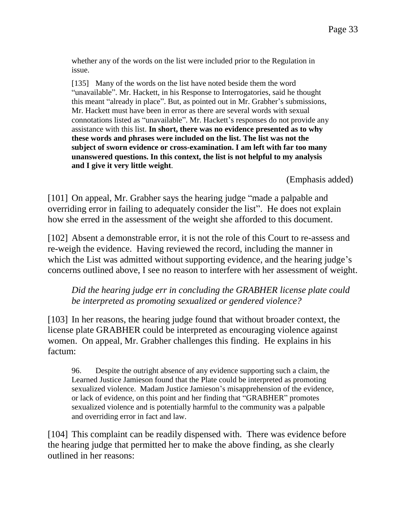whether any of the words on the list were included prior to the Regulation in issue.

[135] Many of the words on the list have noted beside them the word "unavailable". Mr. Hackett, in his Response to Interrogatories, said he thought this meant "already in place". But, as pointed out in Mr. Grabher's submissions, Mr. Hackett must have been in error as there are several words with sexual connotations listed as "unavailable". Mr. Hackett's responses do not provide any assistance with this list. **In short, there was no evidence presented as to why these words and phrases were included on the list. The list was not the subject of sworn evidence or cross-examination. I am left with far too many unanswered questions. In this context, the list is not helpful to my analysis and I give it very little weight**.

### (Emphasis added)

[101] On appeal, Mr. Grabher says the hearing judge "made a palpable and overriding error in failing to adequately consider the list". He does not explain how she erred in the assessment of the weight she afforded to this document.

[102] Absent a demonstrable error, it is not the role of this Court to re-assess and re-weigh the evidence. Having reviewed the record, including the manner in which the List was admitted without supporting evidence, and the hearing judge's concerns outlined above, I see no reason to interfere with her assessment of weight.

*Did the hearing judge err in concluding the GRABHER license plate could be interpreted as promoting sexualized or gendered violence?*

[103] In her reasons, the hearing judge found that without broader context, the license plate GRABHER could be interpreted as encouraging violence against women. On appeal, Mr. Grabher challenges this finding. He explains in his factum:

96. Despite the outright absence of any evidence supporting such a claim, the Learned Justice Jamieson found that the Plate could be interpreted as promoting sexualized violence. Madam Justice Jamieson's misapprehension of the evidence, or lack of evidence, on this point and her finding that "GRABHER" promotes sexualized violence and is potentially harmful to the community was a palpable and overriding error in fact and law.

[104] This complaint can be readily dispensed with. There was evidence before the hearing judge that permitted her to make the above finding, as she clearly outlined in her reasons: